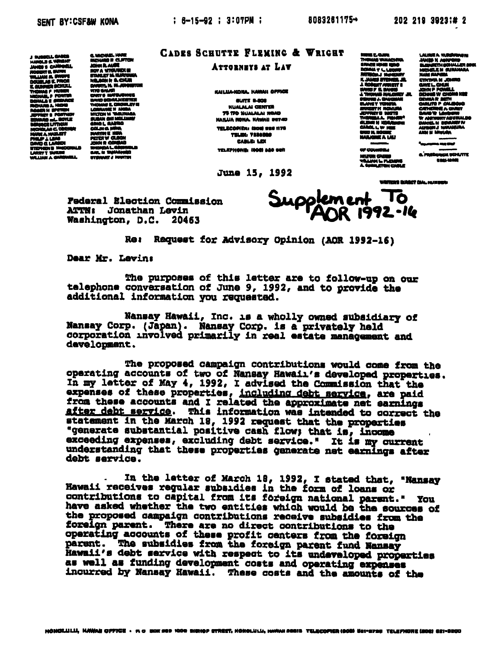J RUSSELL CARES<br>HARGLE S. WRIGHT<br>JANGS S. CAMPORLL<br>ROSENT S. BURN<br>WILLIAM A. BURTS **WIND AGE PROP DOUGLAS E FROM<br>E GUNNER SCHULL<br>THOMAS P HUBER<br>MIGHAS, P FORTER<br>DONALA E GERARE BONALD E SERVICE<br>ROBER N EPOTEN<br>JEFFREY D'ANTAIN<br>JEFFREY D'ANTAINE<br>JEFFREY D'ANTAINE** Pright & Formor<br>INNAD all BOYLE<br>INNACE LITHAM us Links<br>Link 2. Shirinin KA NYAN . . b. waa u me v T DURING<br>M A GARDHALL

**C. MICHAEL HARE** C. MCHAIL WAR<br>MCHAIR R. AUSTRAL<br>JOHN R. AUSTRALIS III<br>FRANCY A VICURIUM<br>VIC AND R. AUSTRALIS<br>VIC GALAR<br>VIC GALAR<br>CANDING R. AUSTRALIS III<br>CAND BOAKLARINGER<br>TAGO BOAKLARINGER<br>TAGO BOAKLARINGER<br>TAGO BOAKLARINGER<br>TAGO BOAKLAR *DIGINALE CROWLEY*<br>LORANNE N ANDA<br>MICTON M VRALIMIN<br>CARA GELARIO<br>CARA MINA<br>CARA MINA **MARTING & IN** PETER V GLEGN aca<br>Alia 104 **GANL NI THE STANDART J. SANNTIN** 

## CADES SCHUTTE FLEMING & WRIGHT

## ATTOBNIYS AT LAT

KAILUA-KONA, HAWAII OFFICE **BUITE B-BOB NUALALAI CENTER 75 TPO WUALALAI ROAD** HAILUA HONA. HAWAII WO74D TELECONER, MORAGER 1178 **TELEL 7230800** CABLE: LEX TELEPHONE: (000) 340 set

June 15, 1992

NINE 2, QJIN<br>THOMAS VAMACHNA<br>GIVACE HIHEI IQDO House Vousinna<br>HACE NHE IGDO<br>Khila Y 4, LEGNO<br>Khila J Montwy **MTNGAJ NORDUY<br>KJAMU STENERJR.** at America C 1 MORENT AVAISTE 1<br>1 MARIN 2 MAARS<br>1 MARIN 3 MAARS<br>1 MARIN 7 MARINA<br>1 MARIN 7 MARIN 72KRID .<br>Naret 7 WEY YOUGHA<br>DIT H MOMUMA<br>DIT H MOMUMA JEFFREYD MATH<br>THENEMA A FEMER<sup>4</sup><br>GLENN H KORANIN CARGL L W H **DUE N. ROOME** OF COUNTIES

A Corp --

Supplement To

LAUREA KURANNON<br>JANGO K ASKFORD<br>BLEMETH GONALLER SING<br>MURELE M GUNANNA **NAM RAPO CIVINA M JOHNO<br>GAVE L. GHUN<br>JOHN P POWELL<br>DENGIN V CHONG KEE** DUNIA R SEM<br>CARUTO P CALEGO<br>CARUTO P CALEGO<br>DAVEW Y LONDON CATHERINE A CHEST<br>BAND W LONDONG<br>W ANTHURY ASUBALDO<br>DANISA H DEMART N<br>AISBON J HARANDA<br>AISBON H MELION

NINTER CADEB<br>WALLING & FLEXING

WRITER'S BIRGET CAN, NUMBER

 $-1$ 

a.<br>Trisbengit BENATE

<sup>0</sup> tanah masjid atau <sup>gar</sup>an di masjid atau di masjid atau di masjid atau di masjid atau di masjid atau di masjid atau di masjid atau di masjid atau di masjid atau di masjid atau di masjid atau di masjid atau di masjid at

Federal Election Commission ATTNi Jonathan Levin Washington, D.C. 20463

Rat Request for Advisory Opinion (AOR 1992-16)

Dear Mr. Levini

The purposes of this letter are to follow-up on our telephone conversation of June 9, 1992, and to provide the additional information you requested.

Mansay Hawaii, Inc. is a wholly owned subsidiary of Nansay Corp. (Japan). Nansay Corp. is a privately held corporation involved primarily in real estate management and development.

The proposed campaign contributions would come from the operating accounts of two of Naneay Hawaii's developed properties. In my letter of Kay 4, 1992, I advised the Commission that the expenses of these properties, including debt service, are paid from these accounts and I related the approximate net earnings after debt service. This information was intended to correct the statement in the March 18, 1992 request that the properties "generate substantial positive cash flow; that is, income exceeding expenses, excluding debt service." it is my current understanding that these properties generate net earnings after debt service.

In the latter of March IB, 1992, I stated that, "Nansay Hawaii receives regular subsidies in the form of loans or contributions to capital from its foreign national parent." You have asked whether the two entities which would be the sources of the proposed campaign contributions receive subsidies from the foreign parent. There are no direct contributions to the operating accounts of these profit centers from the foreign parent. The subsidies from the foreign parent fund Nansay Hawaii's debt service with respect to its undeveloped properties as well as funding development costs and operating expeases incurred by Nansay Hawaii. These costs and the amounts of the